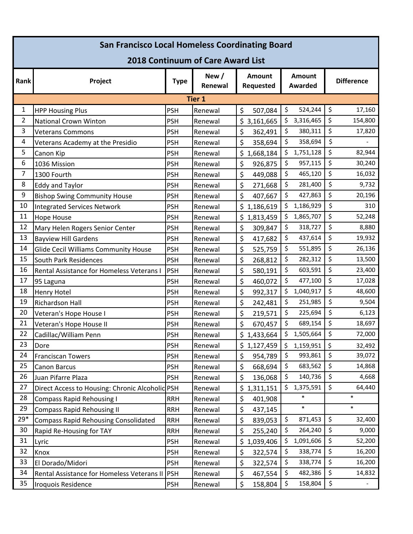| <b>San Francisco Local Homeless Coordinating Board</b> |                                                 |             |                  |                     |         |                                 |         |                              |  |  |  |  |
|--------------------------------------------------------|-------------------------------------------------|-------------|------------------|---------------------|---------|---------------------------------|---------|------------------------------|--|--|--|--|
| 2018 Continuum of Care Award List                      |                                                 |             |                  |                     |         |                                 |         |                              |  |  |  |  |
| Rank                                                   | Project                                         | <b>Type</b> | New /<br>Renewal | Amount<br>Requested |         | <b>Amount</b><br><b>Awarded</b> |         | <b>Difference</b>            |  |  |  |  |
| <b>Tier 1</b>                                          |                                                 |             |                  |                     |         |                                 |         |                              |  |  |  |  |
| 1                                                      | <b>HPP Housing Plus</b>                         | <b>PSH</b>  | Renewal          | \$<br>507,084       | \$      | 524,244                         | \$      | 17,160                       |  |  |  |  |
| $\overline{2}$                                         | <b>National Crown Winton</b>                    | <b>PSH</b>  | Renewal          | \$3,161,665         | \$      | 3,316,465                       | \$      | 154,800                      |  |  |  |  |
| 3                                                      | <b>Veterans Commons</b>                         | <b>PSH</b>  | Renewal          | \$<br>362,491       | \$      | 380,311                         | \$      | 17,820                       |  |  |  |  |
| 4                                                      | Veterans Academy at the Presidio                | <b>PSH</b>  | Renewal          | \$<br>358,694       | \$      | 358,694                         | \$      |                              |  |  |  |  |
| 5                                                      | Canon Kip                                       | <b>PSH</b>  | Renewal          | \$<br>1,668,184     | \$      | 1,751,128                       | \$      | 82,944                       |  |  |  |  |
| 6                                                      | 1036 Mission                                    | <b>PSH</b>  | Renewal          | \$<br>926,875       | \$      | 957,115                         | \$      | 30,240                       |  |  |  |  |
| 7                                                      | 1300 Fourth                                     | <b>PSH</b>  | Renewal          | \$<br>449,088       | \$      | 465,120                         | \$      | 16,032                       |  |  |  |  |
| 8                                                      | <b>Eddy and Taylor</b>                          | <b>PSH</b>  | Renewal          | \$<br>271,668       | \$      | 281,400                         | \$      | 9,732                        |  |  |  |  |
| 9                                                      | <b>Bishop Swing Community House</b>             | <b>PSH</b>  | Renewal          | \$<br>407,667       | \$      | 427,863                         | \$      | 20,196                       |  |  |  |  |
| 10                                                     | <b>Integrated Services Network</b>              | <b>PSH</b>  | Renewal          | \$.<br>1,186,619    | \$      | 1,186,929                       | \$      | 310                          |  |  |  |  |
| 11                                                     | <b>Hope House</b>                               | <b>PSH</b>  | Renewal          | \$1,813,459         | \$      | 1,865,707                       | \$      | 52,248                       |  |  |  |  |
| 12                                                     | Mary Helen Rogers Senior Center                 | <b>PSH</b>  | Renewal          | \$<br>309,847       | \$      | 318,727                         | \$      | 8,880                        |  |  |  |  |
| 13                                                     | <b>Bayview Hill Gardens</b>                     | <b>PSH</b>  | Renewal          | \$<br>417,682       | \$      | 437,614                         | \$      | 19,932                       |  |  |  |  |
| 14                                                     | <b>Glide Cecil Williams Community House</b>     | <b>PSH</b>  | Renewal          | \$<br>525,759       | \$      | 551,895                         | \$      | 26,136                       |  |  |  |  |
| 15                                                     | <b>South Park Residences</b>                    | <b>PSH</b>  | Renewal          | \$<br>268,812       | \$      | 282,312                         | \$      | 13,500                       |  |  |  |  |
| 16                                                     | Rental Assistance for Homeless Veterans I       | <b>PSH</b>  | Renewal          | \$<br>580,191       | \$      | 603,591                         | \$      | 23,400                       |  |  |  |  |
| 17                                                     | 95 Laguna                                       | <b>PSH</b>  | Renewal          | \$<br>460,072       | \$      | 477,100                         | \$      | 17,028                       |  |  |  |  |
| 18                                                     | Henry Hotel                                     | <b>PSH</b>  | Renewal          | \$<br>992,317       | \$      | 1,040,917                       | \$      | 48,600                       |  |  |  |  |
| 19                                                     | <b>Richardson Hall</b>                          | <b>PSH</b>  | Renewal          | \$<br>242,481       | \$      | 251,985                         | \$      | 9,504                        |  |  |  |  |
| 20                                                     | Veteran's Hope House I                          | <b>PSH</b>  | Renewal          | \$<br>219,571       | \$      | 225,694                         | \$      | 6,123                        |  |  |  |  |
| 21                                                     | Veteran's Hope House II                         | <b>PSH</b>  | Renewal          | \$<br>670,457       | \$      | 689,154                         | \$      | 18,697                       |  |  |  |  |
| 22                                                     | Cadillac/William Penn                           | <b>PSH</b>  | Renewal          | \$1,433,664         | \$      | 1,505,664                       | \$      | 72,000                       |  |  |  |  |
| 23                                                     | Dore                                            | <b>PSH</b>  | Renewal          | \$1,127,459         | $\zeta$ | 1,159,951                       | $\zeta$ | 32,492                       |  |  |  |  |
| 24                                                     | <b>Franciscan Towers</b>                        | <b>PSH</b>  | Renewal          | \$<br>954,789       | \$      | 993,861                         | \$      | 39,072                       |  |  |  |  |
| 25                                                     | Canon Barcus                                    | <b>PSH</b>  | Renewal          | \$<br>668,694       | \$      | 683,562                         | \$      | 14,868                       |  |  |  |  |
| 26                                                     | Juan Pifarre Plaza                              | <b>PSH</b>  | Renewal          | \$<br>136,068       | \$      | 140,736                         | \$      | 4,668                        |  |  |  |  |
| 27                                                     | Direct Access to Housing: Chronic Alcoholic PSH |             | Renewal          | \$1,311,151         | \$      | 1,375,591                       | \$      | 64,440                       |  |  |  |  |
| 28                                                     | <b>Compass Rapid Rehousing I</b>                | <b>RRH</b>  | Renewal          | \$<br>401,908       |         | $\ast$                          |         | $\ast$                       |  |  |  |  |
| 29                                                     | <b>Compass Rapid Rehousing II</b>               | <b>RRH</b>  | Renewal          | \$<br>437,145       |         | $\ast$                          |         | $\ast$                       |  |  |  |  |
| $29*$                                                  | <b>Compass Rapid Rehousing Consolidated</b>     | <b>RRH</b>  | Renewal          | \$<br>839,053       | \$      | 871,453                         | \$      | 32,400                       |  |  |  |  |
| 30                                                     | Rapid Re-Housing for TAY                        | <b>RRH</b>  | Renewal          | \$<br>255,240       | \$      | 264,240                         | \$      | 9,000                        |  |  |  |  |
| 31                                                     | Lyric                                           | <b>PSH</b>  | Renewal          | \$1,039,406         | \$      | 1,091,606                       | \$      | 52,200                       |  |  |  |  |
| 32                                                     | Knox                                            | <b>PSH</b>  | Renewal          | \$<br>322,574       | \$      | 338,774                         | \$      | 16,200                       |  |  |  |  |
| 33                                                     | El Dorado/Midori                                | <b>PSH</b>  | Renewal          | \$<br>322,574       | \$      | 338,774                         | \$      | 16,200                       |  |  |  |  |
| 34                                                     | Rental Assistance for Homeless Veterans II      | <b>PSH</b>  | Renewal          | \$<br>467,554       | \$      | 482,386                         | \$      | 14,832                       |  |  |  |  |
| 35                                                     | Iroquois Residence                              | <b>PSH</b>  | Renewal          | \$<br>158,804       | \$      | 158,804                         | \$      | $\qquad \qquad \blacksquare$ |  |  |  |  |